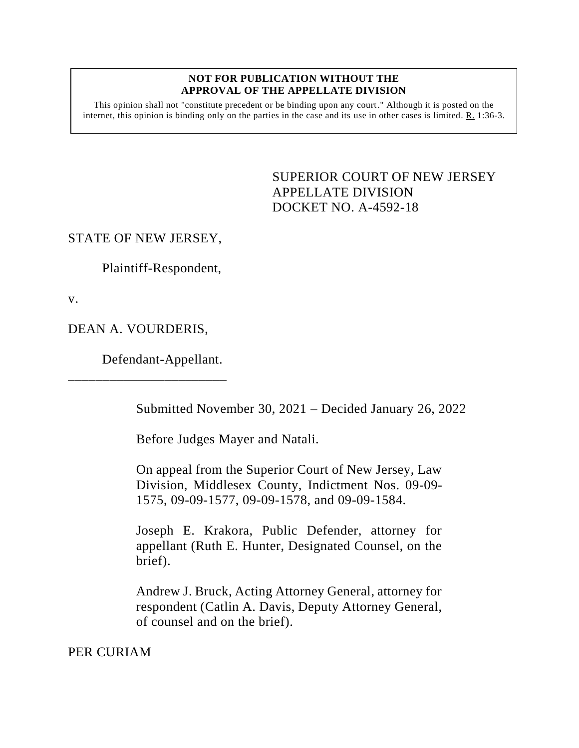#### **NOT FOR PUBLICATION WITHOUT THE APPROVAL OF THE APPELLATE DIVISION**

This opinion shall not "constitute precedent or be binding upon any court." Although it is posted on the internet, this opinion is binding only on the parties in the case and its use in other cases is limited.  $R_1$  1:36-3.

> <span id="page-0-0"></span>SUPERIOR COURT OF NEW JERSEY APPELLATE DIVISION DOCKET NO. A-4592-18

# STATE OF NEW JERSEY,

Plaintiff-Respondent,

v.

DEAN A. VOURDERIS,

\_\_\_\_\_\_\_\_\_\_\_\_\_\_\_\_\_\_\_\_\_\_\_

Defendant-Appellant.

Submitted November 30, 2021 – Decided January 26, 2022

Before Judges Mayer and Natali.

On appeal from the Superior Court of New Jersey, Law Division, Middlesex County, Indictment Nos. 09-09- 1575, 09-09-1577, 09-09-1578, and 09-09-1584.

Joseph E. Krakora, Public Defender, attorney for appellant (Ruth E. Hunter, Designated Counsel, on the brief).

Andrew J. Bruck, Acting Attorney General, attorney for respondent (Catlin A. Davis, Deputy Attorney General, of counsel and on the brief).

PER CURIAM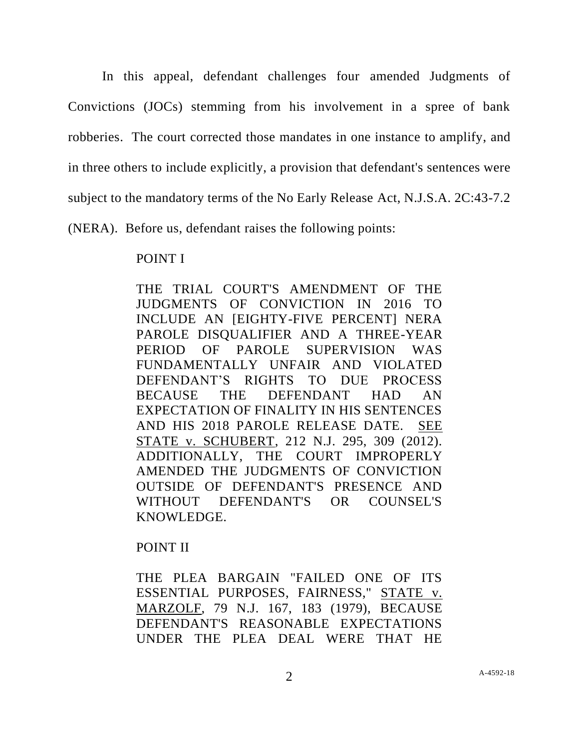In this appeal, defendant challenges four amended Judgments of Convictions (JOCs) stemming from his involvement in a spree of bank robberies. The court corrected those mandates in one instance to amplify, and in three others to include explicitly, a provision that defendant's sentences were subject to the mandatory terms of the No Early Release Act, N.J.S.A. 2C:43-7.2 (NERA). Before us, defendant raises the following points:

## POINT I

THE TRIAL COURT'S AMENDMENT OF THE JUDGMENTS OF CONVICTION IN 2016 TO INCLUDE AN [EIGHTY-FIVE PERCENT] NERA PAROLE DISQUALIFIER AND A THREE-YEAR PERIOD OF PAROLE SUPERVISION WAS FUNDAMENTALLY UNFAIR AND VIOLATED DEFENDANT'S RIGHTS TO DUE PROCESS BECAUSE THE DEFENDANT HAD AN EXPECTATION OF FINALITY IN HIS SENTENCES AND HIS 2018 PAROLE RELEASE DATE. SEE STATE v. SCHUBERT, 212 N.J. 295, 309 (2012). ADDITIONALLY, THE COURT IMPROPERLY AMENDED THE JUDGMENTS OF CONVICTION OUTSIDE OF DEFENDANT'S PRESENCE AND WITHOUT DEFENDANT'S OR COUNSEL'S KNOWLEDGE.

# POINT II

THE PLEA BARGAIN "FAILED ONE OF ITS ESSENTIAL PURPOSES, FAIRNESS," STATE v. MARZOLF, 79 N.J. 167, 183 (1979), BECAUSE DEFENDANT'S REASONABLE EXPECTATIONS UNDER THE PLEA DEAL WERE THAT HE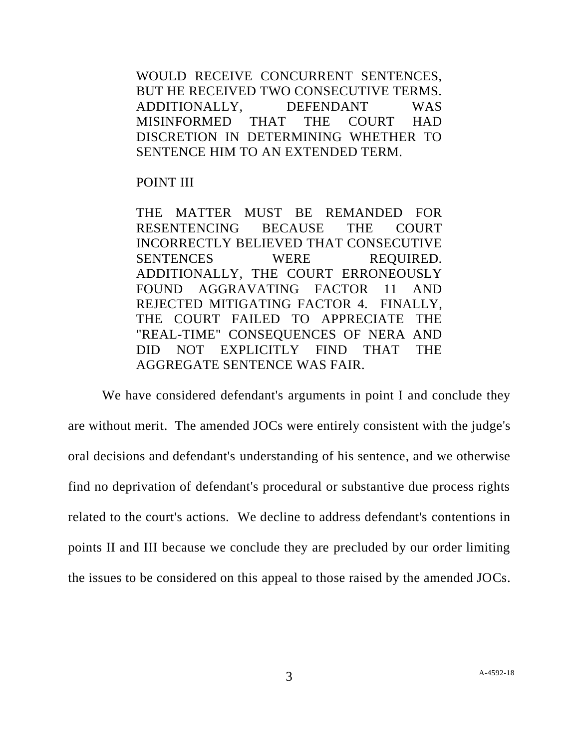WOULD RECEIVE CONCURRENT SENTENCES, BUT HE RECEIVED TWO CONSECUTIVE TERMS. ADDITIONALLY, DEFENDANT WAS MISINFORMED THAT THE COURT HAD DISCRETION IN DETERMINING WHETHER TO SENTENCE HIM TO AN EXTENDED TERM.

POINT III

THE MATTER MUST BE REMANDED FOR RESENTENCING BECAUSE THE COURT INCORRECTLY BELIEVED THAT CONSECUTIVE SENTENCES WERE REQUIRED. ADDITIONALLY, THE COURT ERRONEOUSLY FOUND AGGRAVATING FACTOR 11 AND REJECTED MITIGATING FACTOR 4. FINALLY, THE COURT FAILED TO APPRECIATE THE "REAL-TIME" CONSEQUENCES OF NERA AND DID NOT EXPLICITLY FIND THAT THE AGGREGATE SENTENCE WAS FAIR.

We have considered defendant's arguments in point I and conclude they are without merit. The amended JOCs were entirely consistent with the judge's oral decisions and defendant's understanding of his sentence, and we otherwise find no deprivation of defendant's procedural or substantive due process rights related to the court's actions. We decline to address defendant's contentions in points II and III because we conclude they are precluded by our order limiting the issues to be considered on this appeal to those raised by the amended JOCs.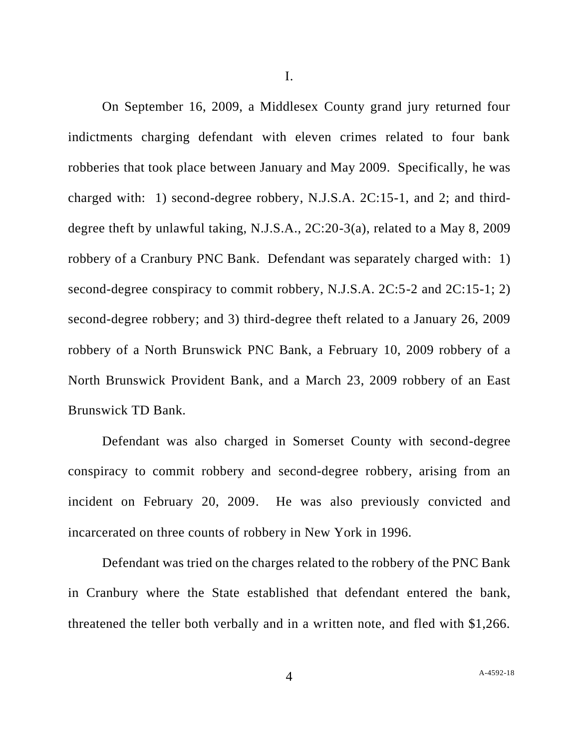I.

On September 16, 2009, a Middlesex County grand jury returned four indictments charging defendant with eleven crimes related to four bank robberies that took place between January and May 2009. Specifically, he was charged with: 1) second-degree robbery, N.J.S.A. 2C:15-1, and 2; and thirddegree theft by unlawful taking, N.J.S.A., 2C:20-3(a), related to a May 8, 2009 robbery of a Cranbury PNC Bank. Defendant was separately charged with: 1) second-degree conspiracy to commit robbery, N.J.S.A. 2C:5-2 and 2C:15-1; 2) second-degree robbery; and 3) third-degree theft related to a January 26, 2009 robbery of a North Brunswick PNC Bank, a February 10, 2009 robbery of a North Brunswick Provident Bank, and a March 23, 2009 robbery of an East Brunswick TD Bank.

Defendant was also charged in Somerset County with second-degree conspiracy to commit robbery and second-degree robbery, arising from an incident on February 20, 2009. He was also previously convicted and incarcerated on three counts of robbery in New York in 1996.

Defendant was tried on the charges related to the robbery of the PNC Bank in Cranbury where the State established that defendant entered the bank, threatened the teller both verbally and in a written note, and fled with \$1,266.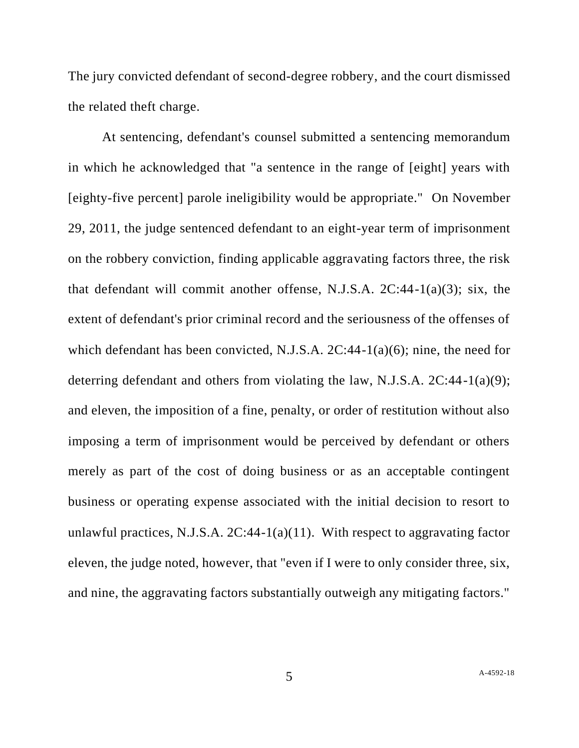The jury convicted defendant of second-degree robbery, and the court dismissed the related theft charge.

At sentencing, defendant's counsel submitted a sentencing memorandum in which he acknowledged that "a sentence in the range of [eight] years with [eighty-five percent] parole ineligibility would be appropriate." On November 29, 2011, the judge sentenced defendant to an eight-year term of imprisonment on the robbery conviction, finding applicable aggravating factors three, the risk that defendant will commit another offense, N.J.S.A. 2C:44-1(a)(3); six, the extent of defendant's prior criminal record and the seriousness of the offenses of which defendant has been convicted, N.J.S.A. 2C:44-1(a)(6); nine, the need for deterring defendant and others from violating the law, N.J.S.A. 2C:44-1(a)(9); and eleven, the imposition of a fine, penalty, or order of restitution without also imposing a term of imprisonment would be perceived by defendant or others merely as part of the cost of doing business or as an acceptable contingent business or operating expense associated with the initial decision to resort to unlawful practices, N.J.S.A.  $2C:44-1(a)(11)$ . With respect to aggravating factor eleven, the judge noted, however, that "even if I were to only consider three, six, and nine, the aggravating factors substantially outweigh any mitigating factors."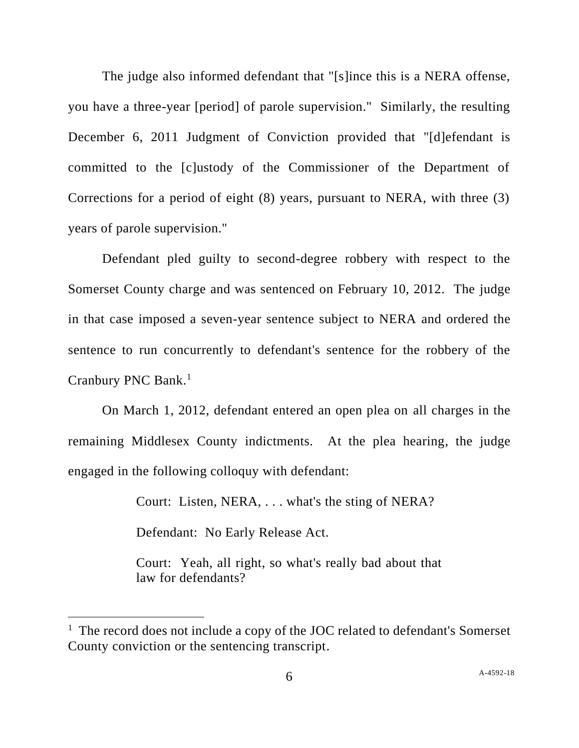The judge also informed defendant that "[s]ince this is a NERA offense, you have a three-year [period] of parole supervision." Similarly, the resulting December 6, 2011 Judgment of Conviction provided that "[d]efendant is committed to the [c]ustody of the Commissioner of the Department of Corrections for a period of eight (8) years, pursuant to NERA, with three (3) years of parole supervision."

Defendant pled guilty to second-degree robbery with respect to the Somerset County charge and was sentenced on February 10, 2012. The judge in that case imposed a seven-year sentence subject to NERA and ordered the sentence to run concurrently to defendant's sentence for the robbery of the Cranbury PNC Bank.<sup>1</sup>

On March 1, 2012, defendant entered an open plea on all charges in the remaining Middlesex County indictments. At the plea hearing, the judge engaged in the following colloquy with defendant:

> Court: Listen, NERA, . . . what's the sting of NERA? Defendant: No Early Release Act. Court: Yeah, all right, so what's really bad about that law for defendants?

<sup>&</sup>lt;sup>1</sup> The record does not include a copy of the JOC related to defendant's Somerset County conviction or the sentencing transcript.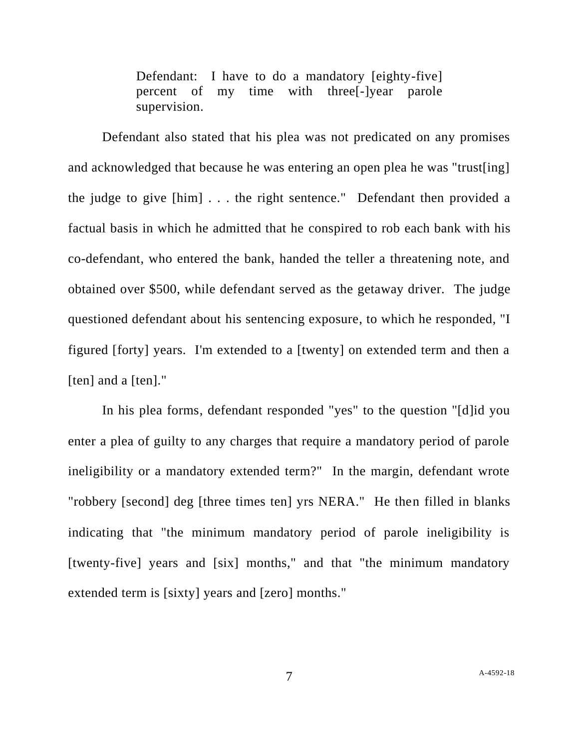Defendant: I have to do a mandatory [eighty-five] percent of my time with three[-]year parole supervision.

Defendant also stated that his plea was not predicated on any promises and acknowledged that because he was entering an open plea he was "trust[ing] the judge to give [him] . . . the right sentence." Defendant then provided a factual basis in which he admitted that he conspired to rob each bank with his co-defendant, who entered the bank, handed the teller a threatening note, and obtained over \$500, while defendant served as the getaway driver. The judge questioned defendant about his sentencing exposure, to which he responded, "I figured [forty] years. I'm extended to a [twenty] on extended term and then a [ten] and a [ten]."

In his plea forms, defendant responded "yes" to the question "[d]id you enter a plea of guilty to any charges that require a mandatory period of parole ineligibility or a mandatory extended term?" In the margin, defendant wrote "robbery [second] deg [three times ten] yrs NERA." He then filled in blanks indicating that "the minimum mandatory period of parole ineligibility is [twenty-five] years and [six] months," and that "the minimum mandatory extended term is [sixty] years and [zero] months."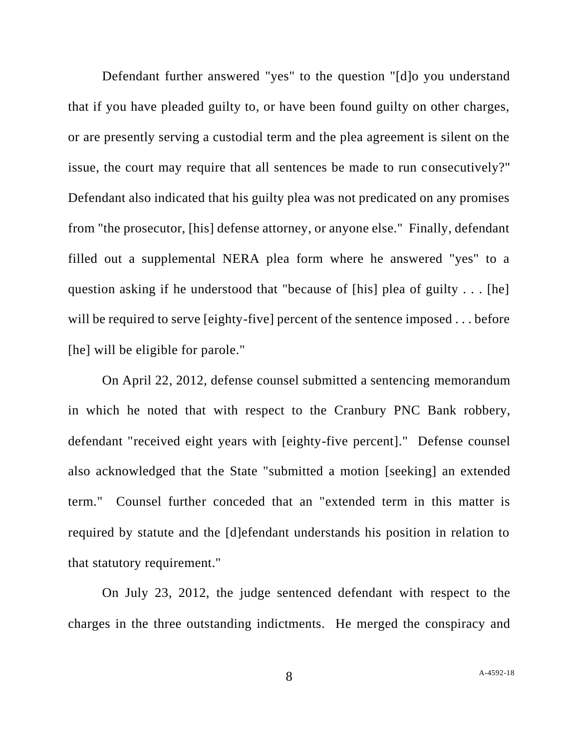Defendant further answered "yes" to the question "[d]o you understand that if you have pleaded guilty to, or have been found guilty on other charges, or are presently serving a custodial term and the plea agreement is silent on the issue, the court may require that all sentences be made to run consecutively?" Defendant also indicated that his guilty plea was not predicated on any promises from "the prosecutor, [his] defense attorney, or anyone else." Finally, defendant filled out a supplemental NERA plea form where he answered "yes" to a question asking if he understood that "because of [his] plea of guilty . . . [he] will be required to serve [eighty-five] percent of the sentence imposed . . . before [he] will be eligible for parole."

On April 22, 2012, defense counsel submitted a sentencing memorandum in which he noted that with respect to the Cranbury PNC Bank robbery, defendant "received eight years with [eighty-five percent]." Defense counsel also acknowledged that the State "submitted a motion [seeking] an extended term." Counsel further conceded that an "extended term in this matter is required by statute and the [d]efendant understands his position in relation to that statutory requirement."

On July 23, 2012, the judge sentenced defendant with respect to the charges in the three outstanding indictments. He merged the conspiracy and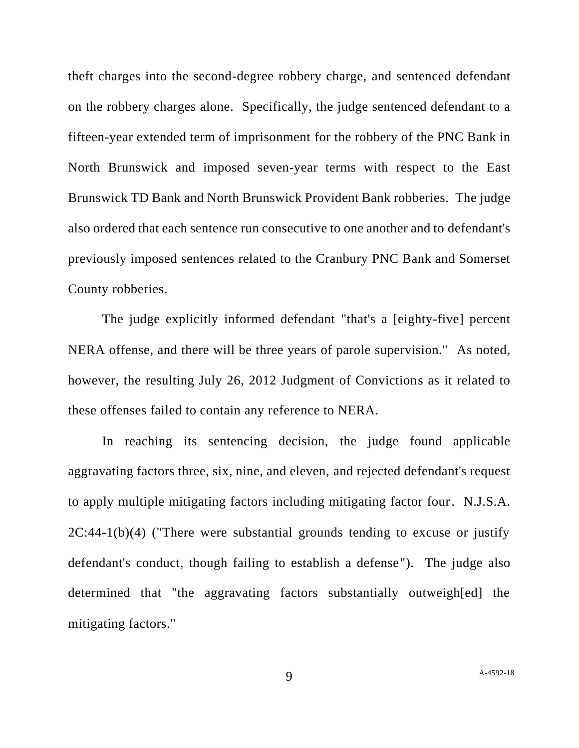theft charges into the second-degree robbery charge, and sentenced defendant on the robbery charges alone. Specifically, the judge sentenced defendant to a fifteen-year extended term of imprisonment for the robbery of the PNC Bank in North Brunswick and imposed seven-year terms with respect to the East Brunswick TD Bank and North Brunswick Provident Bank robberies. The judge also ordered that each sentence run consecutive to one another and to defendant's previously imposed sentences related to the Cranbury PNC Bank and Somerset County robberies.

The judge explicitly informed defendant "that's a [eighty-five] percent NERA offense, and there will be three years of parole supervision." As noted, however, the resulting July 26, 2012 Judgment of Convictions as it related to these offenses failed to contain any reference to NERA.

In reaching its sentencing decision, the judge found applicable aggravating factors three, six, nine, and eleven, and rejected defendant's request to apply multiple mitigating factors including mitigating factor four. N.J.S.A. 2C:44-1(b)(4) ("There were substantial grounds tending to excuse or justify defendant's conduct, though failing to establish a defense"). The judge also determined that "the aggravating factors substantially outweigh[ed] the mitigating factors."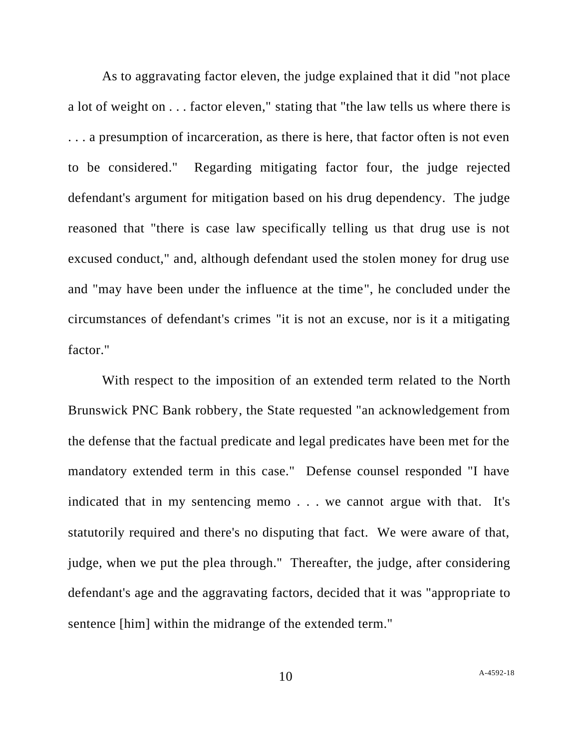As to aggravating factor eleven, the judge explained that it did "not place a lot of weight on . . . factor eleven," stating that "the law tells us where there is . . . a presumption of incarceration, as there is here, that factor often is not even to be considered." Regarding mitigating factor four, the judge rejected defendant's argument for mitigation based on his drug dependency. The judge reasoned that "there is case law specifically telling us that drug use is not excused conduct," and, although defendant used the stolen money for drug use and "may have been under the influence at the time", he concluded under the circumstances of defendant's crimes "it is not an excuse, nor is it a mitigating factor."

With respect to the imposition of an extended term related to the North Brunswick PNC Bank robbery, the State requested "an acknowledgement from the defense that the factual predicate and legal predicates have been met for the mandatory extended term in this case." Defense counsel responded "I have indicated that in my sentencing memo . . . we cannot argue with that. It's statutorily required and there's no disputing that fact. We were aware of that, judge, when we put the plea through." Thereafter, the judge, after considering defendant's age and the aggravating factors, decided that it was "appropriate to sentence [him] within the midrange of the extended term."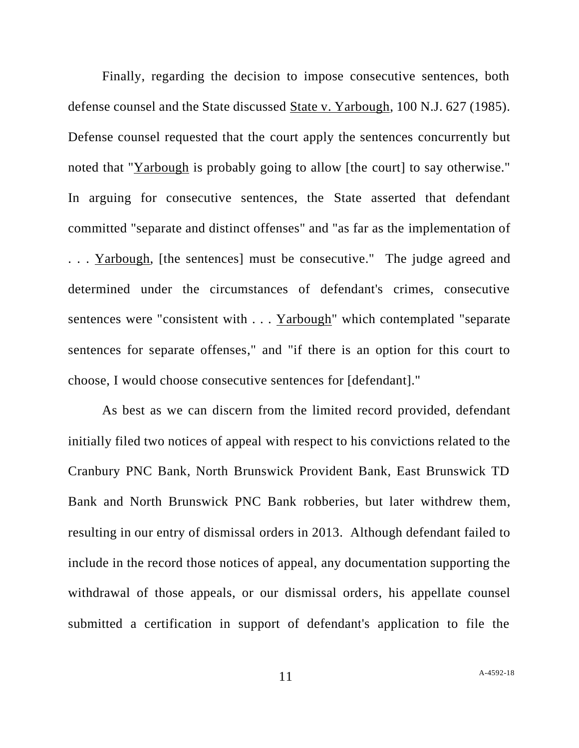Finally, regarding the decision to impose consecutive sentences, both defense counsel and the State discussed State v. Yarbough, 100 N.J. 627 (1985). Defense counsel requested that the court apply the sentences concurrently but noted that "Yarbough is probably going to allow [the court] to say otherwise." In arguing for consecutive sentences, the State asserted that defendant committed "separate and distinct offenses" and "as far as the implementation of ... Yarbough, [the sentences] must be consecutive." The judge agreed and determined under the circumstances of defendant's crimes, consecutive sentences were "consistent with . . . Yarbough" which contemplated "separate sentences for separate offenses," and "if there is an option for this court to choose, I would choose consecutive sentences for [defendant]."

As best as we can discern from the limited record provided, defendant initially filed two notices of appeal with respect to his convictions related to the Cranbury PNC Bank, North Brunswick Provident Bank, East Brunswick TD Bank and North Brunswick PNC Bank robberies, but later withdrew them, resulting in our entry of dismissal orders in 2013. Although defendant failed to include in the record those notices of appeal, any documentation supporting the withdrawal of those appeals, or our dismissal orders, his appellate counsel submitted a certification in support of defendant's application to file the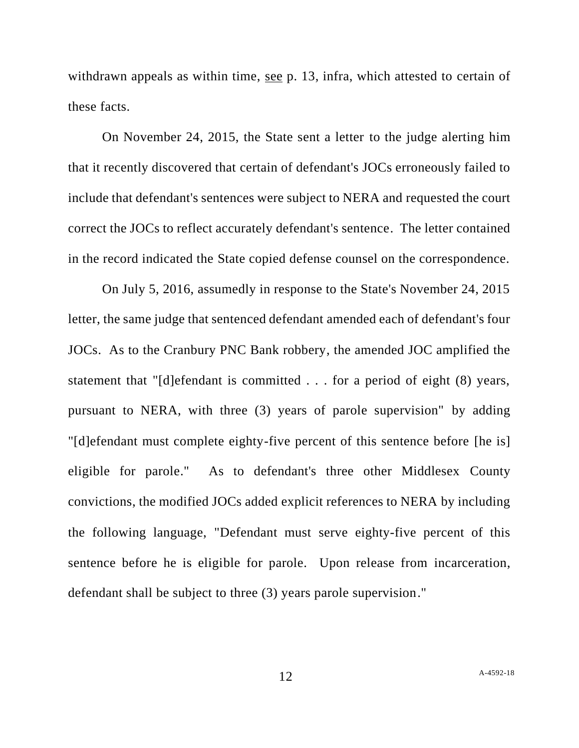withdrawn appeals as within time, see p. 13, infra, which attested to certain of these facts.

On November 24, 2015, the State sent a letter to the judge alerting him that it recently discovered that certain of defendant's JOCs erroneously failed to include that defendant's sentences were subject to NERA and requested the court correct the JOCs to reflect accurately defendant's sentence. The letter contained in the record indicated the State copied defense counsel on the correspondence.

On July 5, 2016, assumedly in response to the State's November 24, 2015 letter, the same judge that sentenced defendant amended each of defendant's four JOCs. As to the Cranbury PNC Bank robbery, the amended JOC amplified the statement that "[d]efendant is committed . . . for a period of eight (8) years, pursuant to NERA, with three (3) years of parole supervision" by adding "[d]efendant must complete eighty-five percent of this sentence before [he is] eligible for parole." As to defendant's three other Middlesex County convictions, the modified JOCs added explicit references to NERA by including the following language, "Defendant must serve eighty-five percent of this sentence before he is eligible for parole. Upon release from incarceration, defendant shall be subject to three (3) years parole supervision."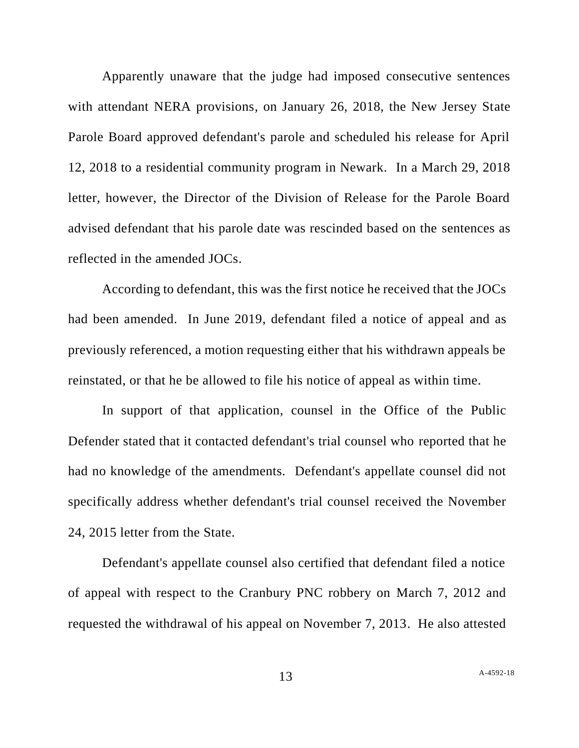Apparently unaware that the judge had imposed consecutive sentences with attendant NERA provisions, on January 26, 2018, the New Jersey State Parole Board approved defendant's parole and scheduled his release for April 12, 2018 to a residential community program in Newark. In a March 29, 2018 letter, however, the Director of the Division of Release for the Parole Board advised defendant that his parole date was rescinded based on the sentences as reflected in the amended JOCs.

According to defendant, this was the first notice he received that the JOCs had been amended. In June 2019, defendant filed a notice of appeal and as previously referenced, a motion requesting either that his withdrawn appeals be reinstated, or that he be allowed to file his notice of appeal as within time.

In support of that application, counsel in the Office of the Public Defender stated that it contacted defendant's trial counsel who reported that he had no knowledge of the amendments. Defendant's appellate counsel did not specifically address whether defendant's trial counsel received the November 24, 2015 letter from the State.

Defendant's appellate counsel also certified that defendant filed a notice of appeal with respect to the Cranbury PNC robbery on March 7, 2012 and requested the withdrawal of his appeal on November 7, 2013. He also attested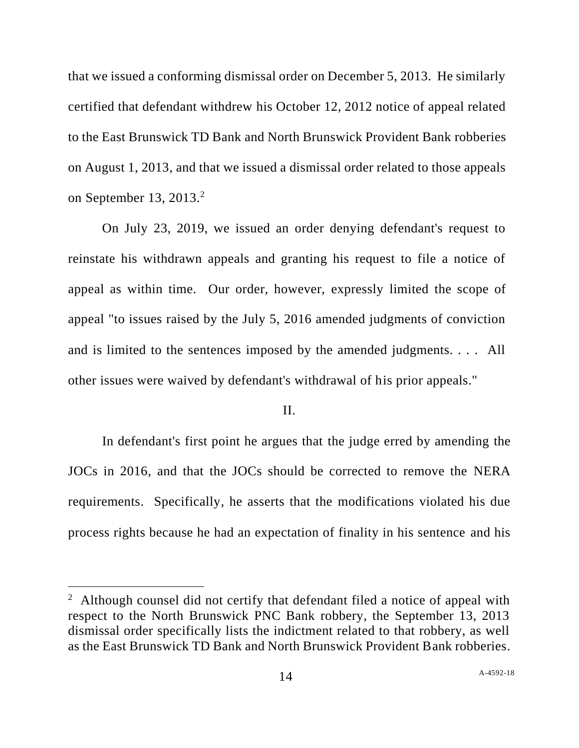that we issued a conforming dismissal order on December 5, 2013. He similarly certified that defendant withdrew his October 12, 2012 notice of appeal related to the East Brunswick TD Bank and North Brunswick Provident Bank robberies on August 1, 2013, and that we issued a dismissal order related to those appeals on September 13, 2013. $2$ 

On July 23, 2019, we issued an order denying defendant's request to reinstate his withdrawn appeals and granting his request to file a notice of appeal as within time. Our order, however, expressly limited the scope of appeal "to issues raised by the July 5, 2016 amended judgments of conviction and is limited to the sentences imposed by the amended judgments. . . . All other issues were waived by defendant's withdrawal of his prior appeals."

#### II.

In defendant's first point he argues that the judge erred by amending the JOCs in 2016, and that the JOCs should be corrected to remove the NERA requirements. Specifically, he asserts that the modifications violated his due process rights because he had an expectation of finality in his sentence and his

<sup>&</sup>lt;sup>2</sup> Although counsel did not certify that defendant filed a notice of appeal with respect to the North Brunswick PNC Bank robbery, the September 13, 2013 dismissal order specifically lists the indictment related to that robbery, as well as the East Brunswick TD Bank and North Brunswick Provident Bank robberies.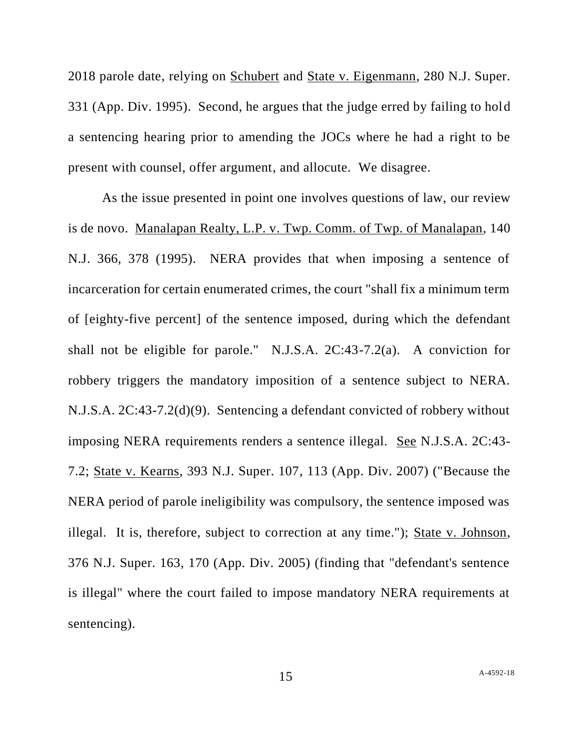2018 parole date, relying on Schubert and State v. Eigenmann, 280 N.J. Super. 331 (App. Div. 1995). Second, he argues that the judge erred by failing to hold a sentencing hearing prior to amending the JOCs where he had a right to be present with counsel, offer argument, and allocute. We disagree.

As the issue presented in point one involves questions of law, our review is de novo. Manalapan Realty, L.P. v. Twp. Comm. of Twp. of Manalapan, 140 N.J. 366, 378 (1995). NERA provides that when imposing a sentence of incarceration for certain enumerated crimes, the court "shall fix a minimum term of [eighty-five percent] of the sentence imposed, during which the defendant shall not be eligible for parole." N.J.S.A. 2C:43-7.2(a). A conviction for robbery triggers the mandatory imposition of a sentence subject to NERA. N.J.S.A. 2C:43-7.2(d)(9). Sentencing a defendant convicted of robbery without imposing NERA requirements renders a sentence illegal. See N.J.S.A. 2C:43- 7.2; State v. Kearns, 393 N.J. Super. 107, 113 (App. Div. 2007) ("Because the NERA period of parole ineligibility was compulsory, the sentence imposed was illegal. It is, therefore, subject to correction at any time."); State v. Johnson, 376 N.J. Super. 163, 170 (App. Div. 2005) (finding that "defendant's sentence is illegal" where the court failed to impose mandatory NERA requirements at sentencing).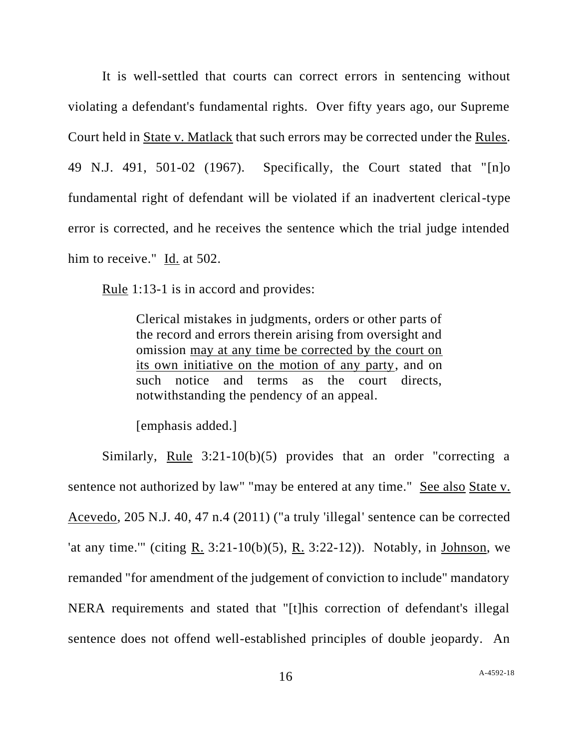It is well-settled that courts can correct errors in sentencing without violating a defendant's fundamental rights. Over fifty years ago, our Supreme Court held in State v. Matlack that such errors may be corrected under the Rules. 49 N.J. 491, 501-02 (1967). Specifically, the Court stated that "[n]o fundamental right of defendant will be violated if an inadvertent clerical-type error is corrected, and he receives the sentence which the trial judge intended him to receive." Id. at 502.

Rule 1:13-1 is in accord and provides:

Clerical mistakes in judgments, orders or other parts of the record and errors therein arising from oversight and omission may at any time be corrected by the court on its own initiative on the motion of any party, and on such notice and terms as the court directs, notwithstanding the pendency of an appeal.

[emphasis added.]

Similarly, Rule 3:21-10(b)(5) provides that an order "correcting a sentence not authorized by law" "may be entered at any time." See also State v. Acevedo, 205 N.J. 40, 47 n.4 (2011) ("a truly 'illegal' sentence can be corrected 'at any time.'" (citing R. 3:21-10(b)(5), R. 3:22-12)). Notably, in Johnson, we remanded "for amendment of the judgement of conviction to include" mandatory NERA requirements and stated that "[t]his correction of defendant's illegal sentence does not offend well-established principles of double jeopardy. An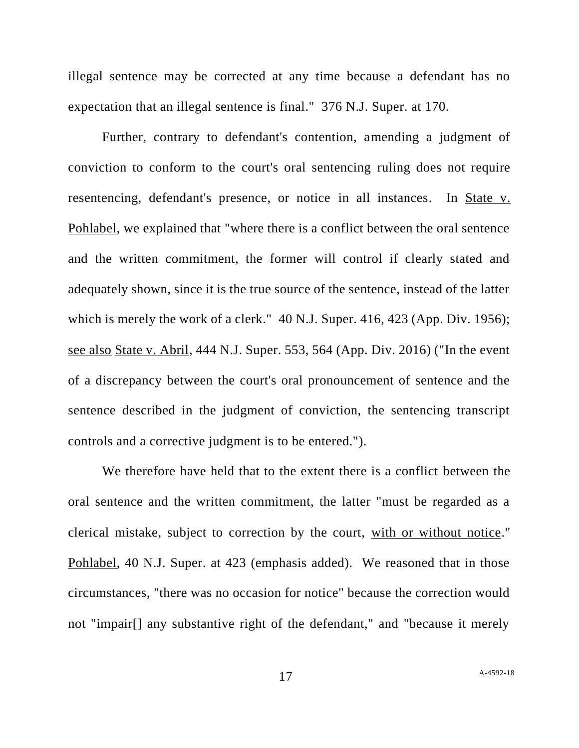illegal sentence may be corrected at any time because a defendant has no expectation that an illegal sentence is final." 376 N.J. Super. at 170.

Further, contrary to defendant's contention, amending a judgment of conviction to conform to the court's oral sentencing ruling does not require resentencing, defendant's presence, or notice in all instances. In State v. Pohlabel, we explained that "where there is a conflict between the oral sentence and the written commitment, the former will control if clearly stated and adequately shown, since it is the true source of the sentence, instead of the latter which is merely the work of a clerk." 40 N.J. Super. 416, 423 (App. Div. 1956); see also State v. Abril, 444 N.J. Super. 553, 564 (App. Div. 2016) ("In the event of a discrepancy between the court's oral pronouncement of sentence and the sentence described in the judgment of conviction, the sentencing transcript controls and a corrective judgment is to be entered.").

We therefore have held that to the extent there is a conflict between the oral sentence and the written commitment, the latter "must be regarded as a clerical mistake, subject to correction by the court, with or without notice." Pohlabel, 40 N.J. Super. at 423 (emphasis added). We reasoned that in those circumstances, "there was no occasion for notice" because the correction would not "impair[] any substantive right of the defendant," and "because it merely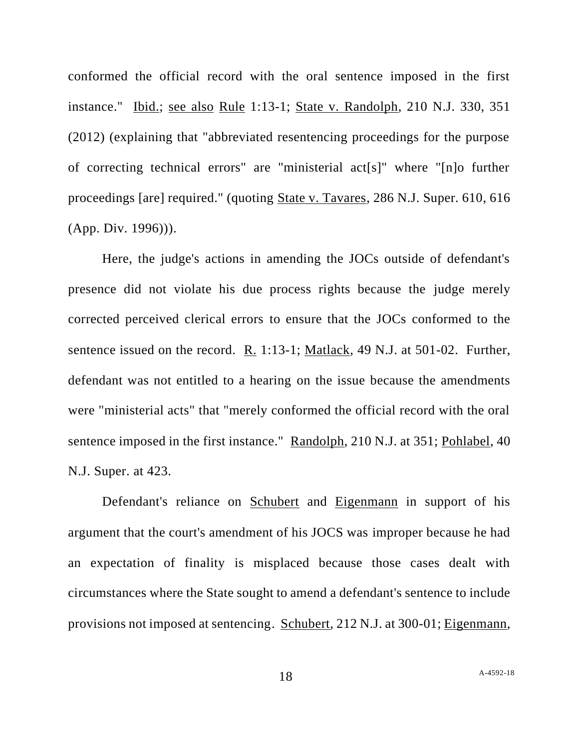conformed the official record with the oral sentence imposed in the first instance." Ibid.; see also Rule 1:13-1; State v. Randolph, 210 N.J. 330, 351 (2012) (explaining that "abbreviated resentencing proceedings for the purpose of correcting technical errors" are "ministerial act[s]" where "[n]o further proceedings [are] required." (quoting State v. Tavares, 286 N.J. Super. 610, 616 (App. Div. 1996))).

Here, the judge's actions in amending the JOCs outside of defendant's presence did not violate his due process rights because the judge merely corrected perceived clerical errors to ensure that the JOCs conformed to the sentence issued on the record. R. 1:13-1; Matlack, 49 N.J. at 501-02. Further, defendant was not entitled to a hearing on the issue because the amendments were "ministerial acts" that "merely conformed the official record with the oral sentence imposed in the first instance." Randolph, 210 N.J. at 351; Pohlabel, 40 N.J. Super. at 423.

Defendant's reliance on Schubert and Eigenmann in support of his argument that the court's amendment of his JOCS was improper because he had an expectation of finality is misplaced because those cases dealt with circumstances where the State sought to amend a defendant's sentence to include provisions not imposed at sentencing. Schubert, 212 N.J. at 300-01; Eigenmann,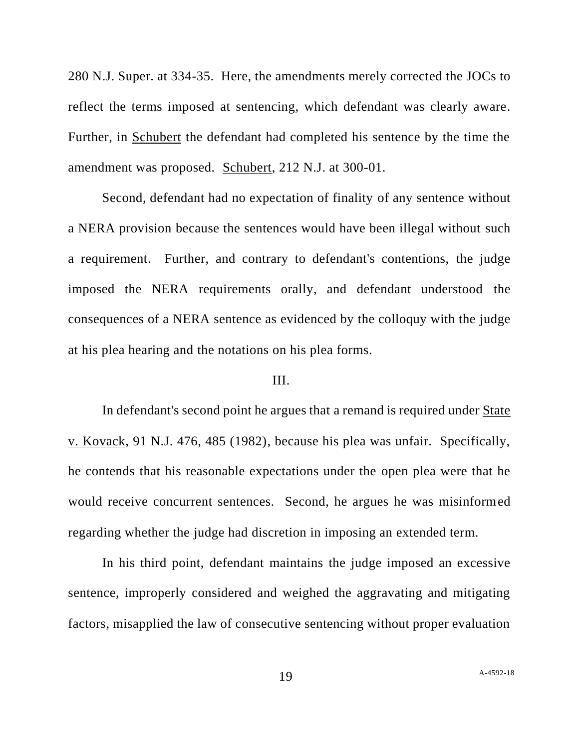280 N.J. Super. at 334-35. Here, the amendments merely corrected the JOCs to reflect the terms imposed at sentencing, which defendant was clearly aware. Further, in Schubert the defendant had completed his sentence by the time the amendment was proposed. Schubert, 212 N.J. at 300-01.

Second, defendant had no expectation of finality of any sentence without a NERA provision because the sentences would have been illegal without such a requirement. Further, and contrary to defendant's contentions, the judge imposed the NERA requirements orally, and defendant understood the consequences of a NERA sentence as evidenced by the colloquy with the judge at his plea hearing and the notations on his plea forms.

### III.

In defendant's second point he argues that a remand is required under State v. Kovack, 91 N.J. 476, 485 (1982), because his plea was unfair. Specifically, he contends that his reasonable expectations under the open plea were that he would receive concurrent sentences. Second, he argues he was misinformed regarding whether the judge had discretion in imposing an extended term.

In his third point, defendant maintains the judge imposed an excessive sentence, improperly considered and weighed the aggravating and mitigating factors, misapplied the law of consecutive sentencing without proper evaluation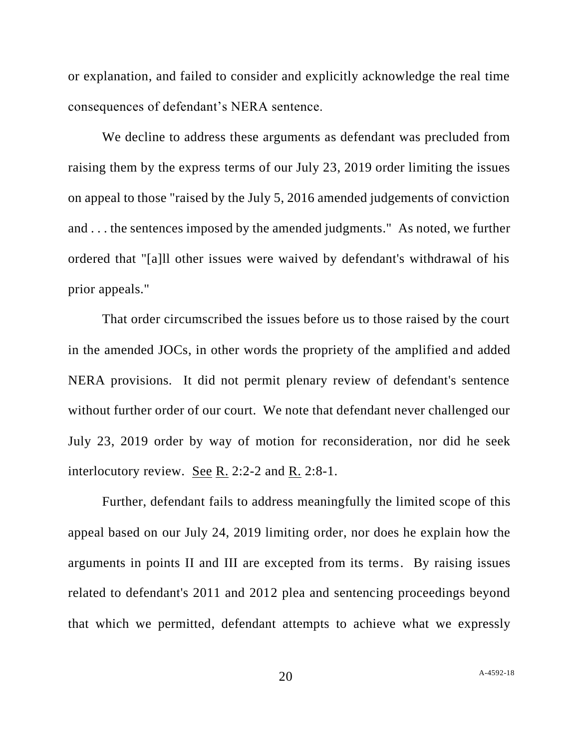or explanation, and failed to consider and explicitly acknowledge the real time consequences of defendant's NERA sentence.

We decline to address these arguments as defendant was precluded from raising them by the express terms of our July 23, 2019 order limiting the issues on appeal to those "raised by the July 5, 2016 amended judgements of conviction and . . . the sentences imposed by the amended judgments." As noted, we further ordered that "[a]ll other issues were waived by defendant's withdrawal of his prior appeals."

That order circumscribed the issues before us to those raised by the court in the amended JOCs, in other words the propriety of the amplified and added NERA provisions. It did not permit plenary review of defendant's sentence without further order of our court. We note that defendant never challenged our July 23, 2019 order by way of motion for reconsideration, nor did he seek interlocutory review. See R. 2:2-2 and R. 2:8-1.

Further, defendant fails to address meaningfully the limited scope of this appeal based on our July 24, 2019 limiting order, nor does he explain how the arguments in points II and III are excepted from its terms. By raising issues related to defendant's 2011 and 2012 plea and sentencing proceedings beyond that which we permitted, defendant attempts to achieve what we expressly